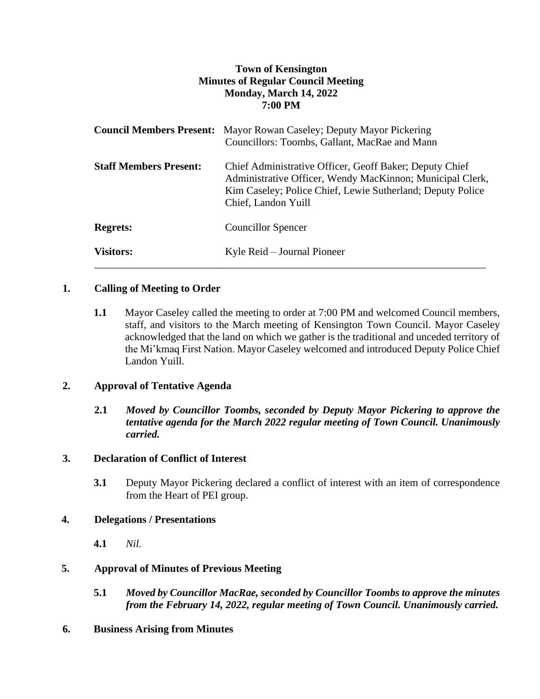# **Town of Kensington Minutes of Regular Council Meeting Monday, March 14, 2022 7:00 PM**

|                               | <b>Council Members Present:</b> Mayor Rowan Caseley; Deputy Mayor Pickering<br>Councillors: Toombs, Gallant, MacRae and Mann                                                                              |
|-------------------------------|-----------------------------------------------------------------------------------------------------------------------------------------------------------------------------------------------------------|
| <b>Staff Members Present:</b> | Chief Administrative Officer, Geoff Baker; Deputy Chief<br>Administrative Officer, Wendy MacKinnon; Municipal Clerk,<br>Kim Caseley; Police Chief, Lewie Sutherland; Deputy Police<br>Chief, Landon Yuill |
| <b>Regrets:</b>               | <b>Councillor Spencer</b>                                                                                                                                                                                 |
| <b>Visitors:</b>              | Kyle Reid – Journal Pioneer                                                                                                                                                                               |

# **1. Calling of Meeting to Order**

**1.1** Mayor Caseley called the meeting to order at 7:00 PM and welcomed Council members, staff, and visitors to the March meeting of Kensington Town Council. Mayor Caseley acknowledged that the land on which we gather is the traditional and unceded territory of the Mi'kmaq First Nation. Mayor Caseley welcomed and introduced Deputy Police Chief Landon Yuill.

# **2. Approval of Tentative Agenda**

**2.1** *Moved by Councillor Toombs, seconded by Deputy Mayor Pickering to approve the tentative agenda for the March 2022 regular meeting of Town Council. Unanimously carried.*

# **3. Declaration of Conflict of Interest**

**3.1** Deputy Mayor Pickering declared a conflict of interest with an item of correspondence from the Heart of PEI group.

# **4. Delegations / Presentations**

**4.1** *Nil.*

# **5. Approval of Minutes of Previous Meeting**

- **5.1** *Moved by Councillor MacRae, seconded by Councillor Toombs to approve the minutes from the February 14, 2022, regular meeting of Town Council. Unanimously carried.*
- **6. Business Arising from Minutes**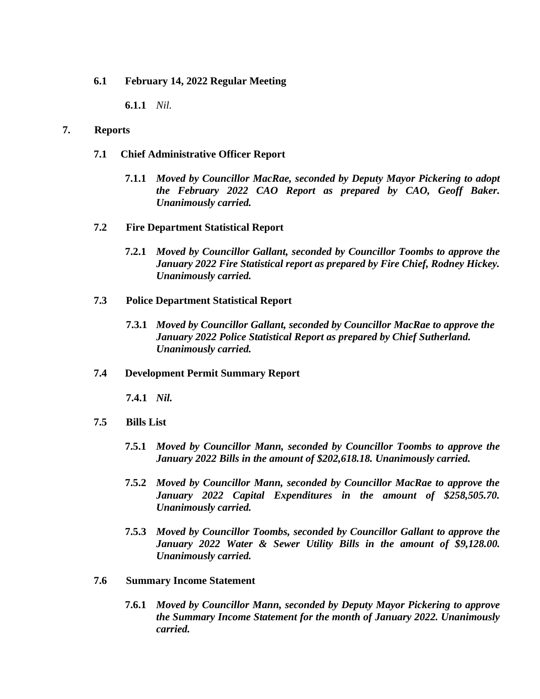## **6.1 February 14, 2022 Regular Meeting**

**6.1.1** *Nil.*

### **7. Reports**

### **7.1 Chief Administrative Officer Report**

**7.1.1** *Moved by Councillor MacRae, seconded by Deputy Mayor Pickering to adopt the February 2022 CAO Report as prepared by CAO, Geoff Baker. Unanimously carried.*

### **7.2 Fire Department Statistical Report**

**7.2.1** *Moved by Councillor Gallant, seconded by Councillor Toombs to approve the January 2022 Fire Statistical report as prepared by Fire Chief, Rodney Hickey. Unanimously carried.*

### **7.3 Police Department Statistical Report**

**7.3.1** *Moved by Councillor Gallant, seconded by Councillor MacRae to approve the January 2022 Police Statistical Report as prepared by Chief Sutherland. Unanimously carried.*

#### **7.4 Development Permit Summary Report**

**7.4.1** *Nil.*

- **7.5 Bills List** 
	- **7.5.1** *Moved by Councillor Mann, seconded by Councillor Toombs to approve the January 2022 Bills in the amount of \$202,618.18. Unanimously carried.*
	- **7.5.2** *Moved by Councillor Mann, seconded by Councillor MacRae to approve the January 2022 Capital Expenditures in the amount of \$258,505.70. Unanimously carried.*
	- **7.5.3** *Moved by Councillor Toombs, seconded by Councillor Gallant to approve the January 2022 Water & Sewer Utility Bills in the amount of \$9,128.00. Unanimously carried.*

## **7.6 Summary Income Statement**

**7.6.1** *Moved by Councillor Mann, seconded by Deputy Mayor Pickering to approve the Summary Income Statement for the month of January 2022. Unanimously carried.*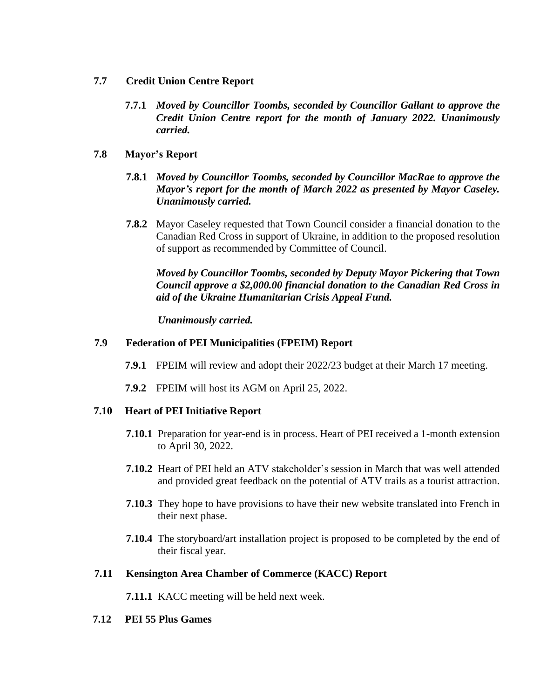- **7.7 Credit Union Centre Report**
	- **7.7.1** *Moved by Councillor Toombs, seconded by Councillor Gallant to approve the Credit Union Centre report for the month of January 2022. Unanimously carried.*

## **7.8 Mayor's Report**

- **7.8.1** *Moved by Councillor Toombs, seconded by Councillor MacRae to approve the Mayor's report for the month of March 2022 as presented by Mayor Caseley. Unanimously carried.*
- **7.8.2** Mayor Caseley requested that Town Council consider a financial donation to the Canadian Red Cross in support of Ukraine, in addition to the proposed resolution of support as recommended by Committee of Council.

*Moved by Councillor Toombs, seconded by Deputy Mayor Pickering that Town Council approve a \$2,000.00 financial donation to the Canadian Red Cross in aid of the Ukraine Humanitarian Crisis Appeal Fund.* 

*Unanimously carried.*

### **7.9 Federation of PEI Municipalities (FPEIM) Report**

- **7.9.1** FPEIM will review and adopt their 2022/23 budget at their March 17 meeting.
- **7.9.2** FPEIM will host its AGM on April 25, 2022.

## **7.10 Heart of PEI Initiative Report**

- **7.10.1** Preparation for year-end is in process. Heart of PEI received a 1-month extension to April 30, 2022.
- **7.10.2** Heart of PEI held an ATV stakeholder's session in March that was well attended and provided great feedback on the potential of ATV trails as a tourist attraction.
- **7.10.3** They hope to have provisions to have their new website translated into French in their next phase.
- **7.10.4** The storyboard/art installation project is proposed to be completed by the end of their fiscal year.

#### **7.11 Kensington Area Chamber of Commerce (KACC) Report**

**7.11.1** KACC meeting will be held next week.

### **7.12 PEI 55 Plus Games**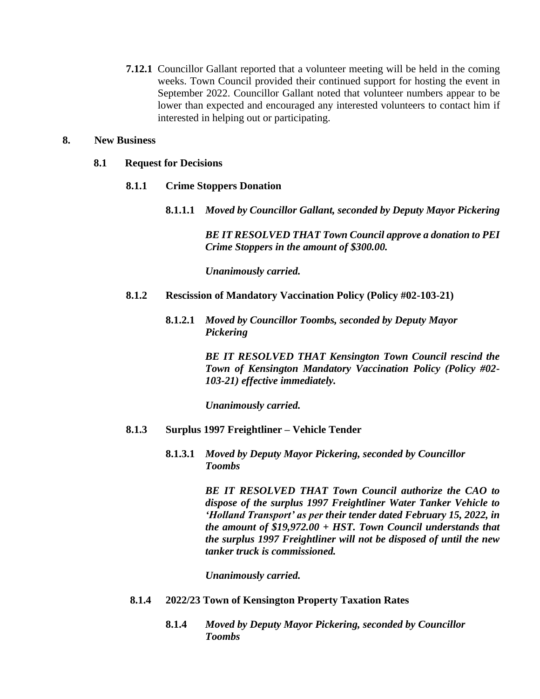**7.12.1** Councillor Gallant reported that a volunteer meeting will be held in the coming weeks. Town Council provided their continued support for hosting the event in September 2022. Councillor Gallant noted that volunteer numbers appear to be lower than expected and encouraged any interested volunteers to contact him if interested in helping out or participating.

#### **8. New Business**

### **8.1 Request for Decisions**

- **8.1.1 Crime Stoppers Donation**
	- **8.1.1.1** *Moved by Councillor Gallant, seconded by Deputy Mayor Pickering*

*BE IT RESOLVED THAT Town Council approve a donation to PEI Crime Stoppers in the amount of \$300.00.*

*Unanimously carried.* 

- **8.1.2 Rescission of Mandatory Vaccination Policy (Policy #02-103-21)**
	- **8.1.2.1** *Moved by Councillor Toombs, seconded by Deputy Mayor Pickering*

*BE IT RESOLVED THAT Kensington Town Council rescind the Town of Kensington Mandatory Vaccination Policy (Policy #02- 103-21) effective immediately.*

*Unanimously carried.* 

- **8.1.3 Surplus 1997 Freightliner – Vehicle Tender**
	- **8.1.3.1** *Moved by Deputy Mayor Pickering, seconded by Councillor Toombs*

*BE IT RESOLVED THAT Town Council authorize the CAO to dispose of the surplus 1997 Freightliner Water Tanker Vehicle to 'Holland Transport' as per their tender dated February 15, 2022, in the amount of \$19,972.00 + HST. Town Council understands that the surplus 1997 Freightliner will not be disposed of until the new tanker truck is commissioned.*

*Unanimously carried.* 

- **8.1.4 2022/23 Town of Kensington Property Taxation Rates**
	- **8.1.4** *Moved by Deputy Mayor Pickering, seconded by Councillor Toombs*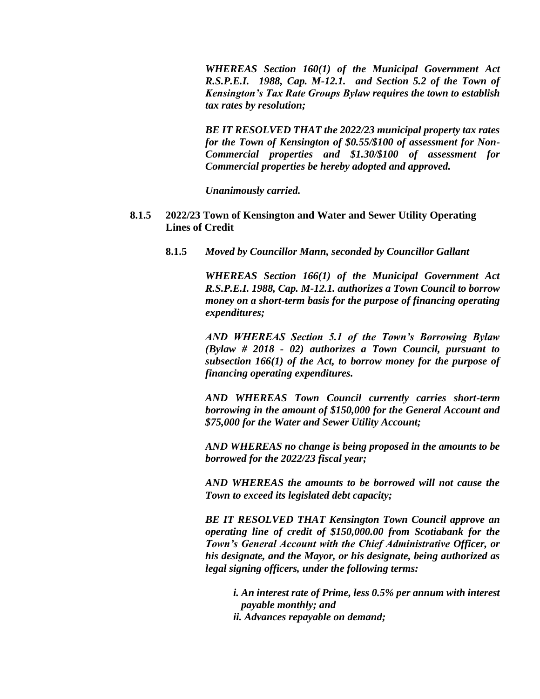*WHEREAS Section 160(1) of the Municipal Government Act R.S.P.E.I. 1988, Cap. M-12.1. and Section 5.2 of the Town of Kensington's Tax Rate Groups Bylaw requires the town to establish tax rates by resolution;*

*BE IT RESOLVED THAT the 2022/23 municipal property tax rates for the Town of Kensington of \$0.55/\$100 of assessment for Non-Commercial properties and \$1.30/\$100 of assessment for Commercial properties be hereby adopted and approved.*

*Unanimously carried.* 

- **8.1.5 2022/23 Town of Kensington and Water and Sewer Utility Operating Lines of Credit**
	- **8.1.5** *Moved by Councillor Mann, seconded by Councillor Gallant*

*WHEREAS Section 166(1) of the Municipal Government Act R.S.P.E.I. 1988, Cap. M-12.1. authorizes a Town Council to borrow money on a short-term basis for the purpose of financing operating expenditures;*

*AND WHEREAS Section 5.1 of the Town's Borrowing Bylaw (Bylaw # 2018 - 02) authorizes a Town Council, pursuant to subsection 166(1) of the Act, to borrow money for the purpose of financing operating expenditures.*

*AND WHEREAS Town Council currently carries short-term borrowing in the amount of \$150,000 for the General Account and \$75,000 for the Water and Sewer Utility Account;*

*AND WHEREAS no change is being proposed in the amounts to be borrowed for the 2022/23 fiscal year;*

*AND WHEREAS the amounts to be borrowed will not cause the Town to exceed its legislated debt capacity;*

*BE IT RESOLVED THAT Kensington Town Council approve an operating line of credit of \$150,000.00 from Scotiabank for the Town's General Account with the Chief Administrative Officer, or his designate, and the Mayor, or his designate, being authorized as legal signing officers, under the following terms:*

*i. An interest rate of Prime, less 0.5% per annum with interest payable monthly; and ii. Advances repayable on demand;*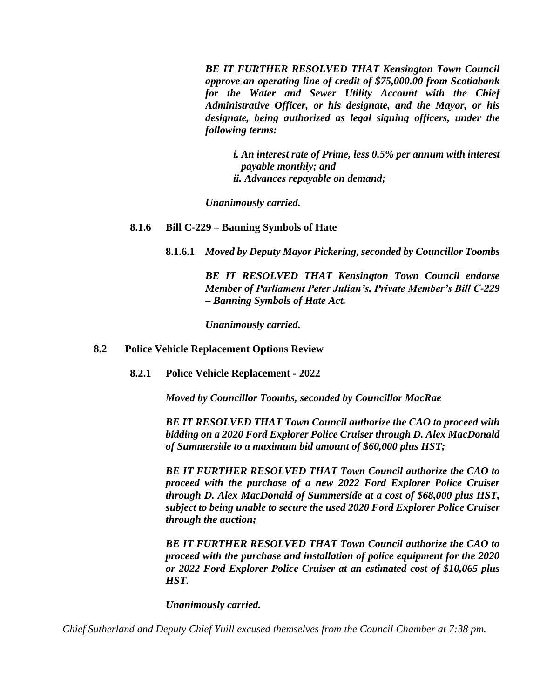*BE IT FURTHER RESOLVED THAT Kensington Town Council approve an operating line of credit of \$75,000.00 from Scotiabank for the Water and Sewer Utility Account with the Chief Administrative Officer, or his designate, and the Mayor, or his designate, being authorized as legal signing officers, under the following terms:*

*i. An interest rate of Prime, less 0.5% per annum with interest payable monthly; and ii. Advances repayable on demand;*

*Unanimously carried.* 

### **8.1.6 Bill C-229 – Banning Symbols of Hate**

**8.1.6.1** *Moved by Deputy Mayor Pickering, seconded by Councillor Toombs*

*BE IT RESOLVED THAT Kensington Town Council endorse Member of Parliament Peter Julian's, Private Member's Bill C-229 – Banning Symbols of Hate Act.*

*Unanimously carried.* 

### **8.2 Police Vehicle Replacement Options Review**

**8.2.1 Police Vehicle Replacement - 2022**

*Moved by Councillor Toombs, seconded by Councillor MacRae*

*BE IT RESOLVED THAT Town Council authorize the CAO to proceed with bidding on a 2020 Ford Explorer Police Cruiser through D. Alex MacDonald of Summerside to a maximum bid amount of \$60,000 plus HST;*

*BE IT FURTHER RESOLVED THAT Town Council authorize the CAO to proceed with the purchase of a new 2022 Ford Explorer Police Cruiser through D. Alex MacDonald of Summerside at a cost of \$68,000 plus HST, subject to being unable to secure the used 2020 Ford Explorer Police Cruiser through the auction;*

*BE IT FURTHER RESOLVED THAT Town Council authorize the CAO to proceed with the purchase and installation of police equipment for the 2020 or 2022 Ford Explorer Police Cruiser at an estimated cost of \$10,065 plus HST.*

*Unanimously carried.* 

*Chief Sutherland and Deputy Chief Yuill excused themselves from the Council Chamber at 7:38 pm.*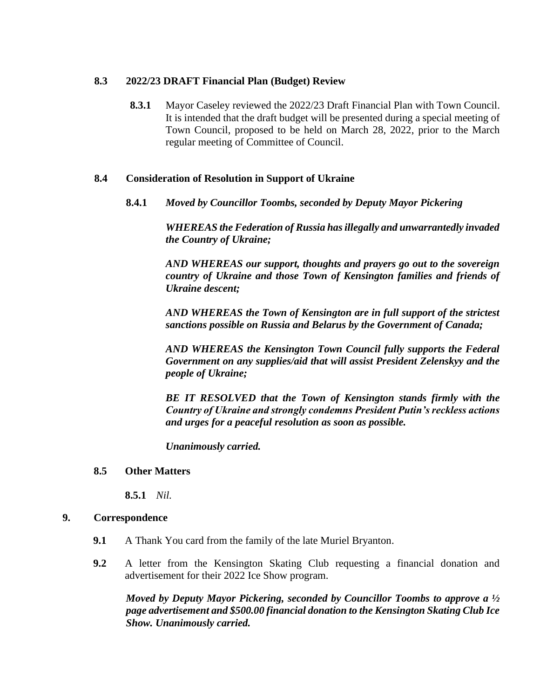## **8.3 2022/23 DRAFT Financial Plan (Budget) Review**

**8.3.1** Mayor Caseley reviewed the 2022/23 Draft Financial Plan with Town Council. It is intended that the draft budget will be presented during a special meeting of Town Council, proposed to be held on March 28, 2022, prior to the March regular meeting of Committee of Council.

## **8.4 Consideration of Resolution in Support of Ukraine**

**8.4.1** *Moved by Councillor Toombs, seconded by Deputy Mayor Pickering*

*WHEREAS the Federation of Russia has illegally and unwarrantedly invaded the Country of Ukraine;*

*AND WHEREAS our support, thoughts and prayers go out to the sovereign country of Ukraine and those Town of Kensington families and friends of Ukraine descent;* 

*AND WHEREAS the Town of Kensington are in full support of the strictest sanctions possible on Russia and Belarus by the Government of Canada;*

*AND WHEREAS the Kensington Town Council fully supports the Federal Government on any supplies/aid that will assist President Zelenskyy and the people of Ukraine;*

*BE IT RESOLVED that the Town of Kensington stands firmly with the Country of Ukraine and strongly condemns President Putin's reckless actions and urges for a peaceful resolution as soon as possible.*

*Unanimously carried.* 

## **8.5 Other Matters**

**8.5.1** *Nil.*

## **9. Correspondence**

- **9.1** A Thank You card from the family of the late Muriel Bryanton.
- **9.2** A letter from the Kensington Skating Club requesting a financial donation and advertisement for their 2022 Ice Show program.

*Moved by Deputy Mayor Pickering, seconded by Councillor Toombs to approve a ½ page advertisement and \$500.00 financial donation to the Kensington Skating Club Ice Show. Unanimously carried.*